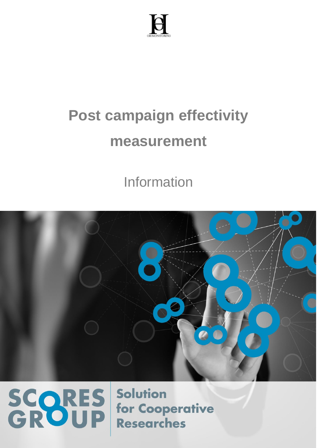

### **Post campaign effectivity measurement**

Information



# SCORES

**Solution** for Cooperative **Researches**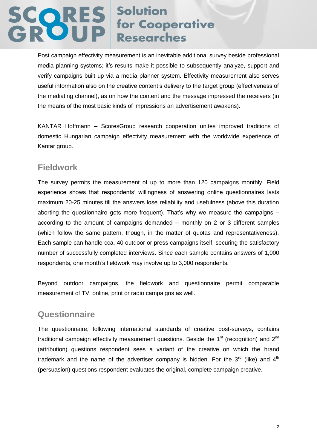### **SCORES** Solution<br>GROUP for Cooperative

Post campaign effectivity measurement is an inevitable additional survey beside professional media planning systems; it's results make it possible to subsequently analyze, support and verify campaigns built up via a media planner system. Effectivity measurement also serves useful information also on the creative content's delivery to the target group (effectiveness of the mediating channel), as on how the content and the message impressed the receivers (in the means of the most basic kinds of impressions an advertisement awakens).

KANTAR Hoffmann – ScoresGroup research cooperation unites improved traditions of domestic Hungarian campaign effectivity measurement with the worldwide experience of Kantar group.

#### **Fieldwork**

The survey permits the measurement of up to more than 120 campaigns monthly. Field experience shows that respondents' willingness of answering online questionnaires lasts maximum 20-25 minutes till the answers lose reliability and usefulness (above this duration aborting the questionnaire gets more frequent). That's why we measure the campaigns – according to the amount of campaigns demanded – monthly on 2 or 3 different samples (which follow the same pattern, though, in the matter of quotas and representativeness). Each sample can handle cca. 40 outdoor or press campaigns itself, securing the satisfactory number of successfully completed interviews. Since each sample contains answers of 1,000 respondents, one month's fieldwork may involve up to 3,000 respondents.

Beyond outdoor campaigns, the fieldwork and questionnaire permit comparable measurement of TV, online, print or radio campaigns as well.

#### **Questionnaire**

The questionnaire, following international standards of creative post-surveys, contains traditional campaign effectivity measurement questions. Beside the  $1<sup>st</sup>$  (recognition) and  $2<sup>nd</sup>$ (attribution) questions respondent sees a variant of the creative on which the brand trademark and the name of the advertiser company is hidden. For the  $3<sup>rd</sup>$  (like) and  $4<sup>th</sup>$ (persuasion) questions respondent evaluates the original, complete campaign creative.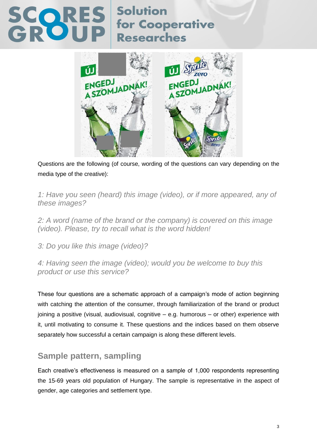

Questions are the following (of course, wording of the questions can vary depending on the media type of the creative):

*1: Have you seen (heard) this image (video), or if more appeared, any of these images?*

*2: A word (name of the brand or the company) is covered on this image (video). Please, try to recall what is the word hidden!*

*3: Do you like this image (video)?*

*4: Having seen the image (video); would you be welcome to buy this product or use this service?*

These four questions are a schematic approach of a campaign's mode of action beginning with catching the attention of the consumer, through familiarization of the brand or product joining a positive (visual, audiovisual, cognitive – e.g. humorous – or other) experience with it, until motivating to consume it. These questions and the indices based on them observe separately how successful a certain campaign is along these different levels.

### **Sample pattern, sampling**

Each creative's effectiveness is measured on a sample of 1,000 respondents representing the 15-69 years old population of Hungary. The sample is representative in the aspect of gender, age categories and settlement type.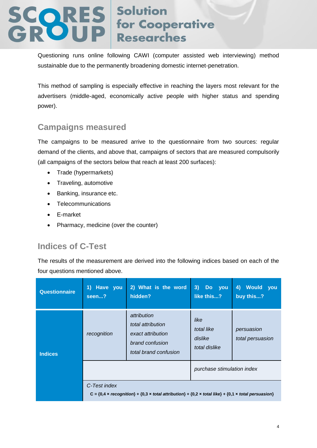Questioning runs online following CAWI (computer assisted web interviewing) method sustainable due to the permanently broadening domestic internet-penetration.

This method of sampling is especially effective in reaching the layers most relevant for the advertisers (middle-aged, economically active people with higher status and spending power).

### **Campaigns measured**

The campaigns to be measured arrive to the questionnaire from two sources: regular demand of the clients, and above that, campaigns of sectors that are measured compulsorily (all campaigns of the sectors below that reach at least 200 surfaces):

- Trade (hypermarkets)
- Traveling, automotive
- Banking, insurance etc.
- Telecommunications
- E-market
- Pharmacy, medicine (over the counter)

### **Indices of C-Test**

The results of the measurement are derived into the following indices based on each of the four questions mentioned above.

| <b>Questionnaire</b> | 1) Have you<br>seen?                                                                                                                                           | 2) What is the word<br>hidden?                                                                    | 3)<br>Do you<br>like this?                     | 4) Would<br><b>VOU</b><br>buy this? |
|----------------------|----------------------------------------------------------------------------------------------------------------------------------------------------------------|---------------------------------------------------------------------------------------------------|------------------------------------------------|-------------------------------------|
| <b>Indices</b>       | recognition                                                                                                                                                    | attribution<br>total attribution<br>exact attribution<br>brand confusion<br>total brand confusion | like<br>total like<br>dislike<br>total dislike | persuasion<br>total persuasion      |
|                      |                                                                                                                                                                |                                                                                                   | purchase stimulation index                     |                                     |
|                      | C-Test index<br>$C = \{0, 4 \times recognition\} + \{0, 3 \times total$ attribution $\} + \{0, 2 \times total$ like $\} + \{0, 1 \times total$ persuasion $\}$ |                                                                                                   |                                                |                                     |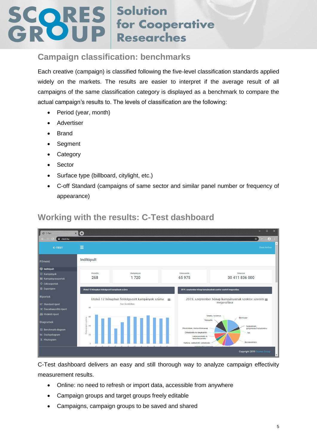#### **Campaign classification: benchmarks**

Each creative (campaign) is classified following the five-level classification standards applied widely on the markets. The results are easier to interpret if the average result of all campaigns of the same classification category is displayed as a benchmark to compare the actual campaign's results to. The levels of classification are the following:

- Period (year, month)
- Advertiser
- Brand
- Segment
- Category
- Sector
- Surface type (billboard, citylight, etc.)
- C-off Standard (campaigns of same sector and similar panel number or frequency of appearance)



### **Working with the results: C-Test dashboard**

C-Test dashboard delivers an easy and still thorough way to analyze campaign effectivity measurement results.

- Online: no need to refresh or import data, accessible from anywhere
- Campaign groups and target groups freely editable
- Campaigns, campaign groups to be saved and shared